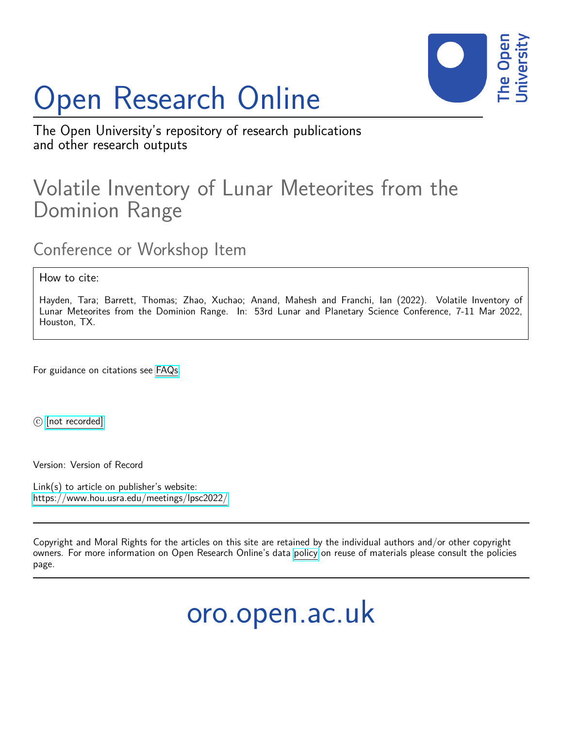## Open Research Online



The Open University's repository of research publications and other research outputs

## Volatile Inventory of Lunar Meteorites from the Dominion Range

Conference or Workshop Item

How to cite:

Hayden, Tara; Barrett, Thomas; Zhao, Xuchao; Anand, Mahesh and Franchi, Ian (2022). Volatile Inventory of Lunar Meteorites from the Dominion Range. In: 53rd Lunar and Planetary Science Conference, 7-11 Mar 2022, Houston, TX.

For guidance on citations see [FAQs.](http://oro.open.ac.uk/help/helpfaq.html)

c [\[not recorded\]](http://oro.open.ac.uk/help/helpfaq.html#Unrecorded_information_on_coversheet)

Version: Version of Record

Link(s) to article on publisher's website: <https://www.hou.usra.edu/meetings/lpsc2022/>

Copyright and Moral Rights for the articles on this site are retained by the individual authors and/or other copyright owners. For more information on Open Research Online's data [policy](http://oro.open.ac.uk/policies.html) on reuse of materials please consult the policies page.

oro.open.ac.uk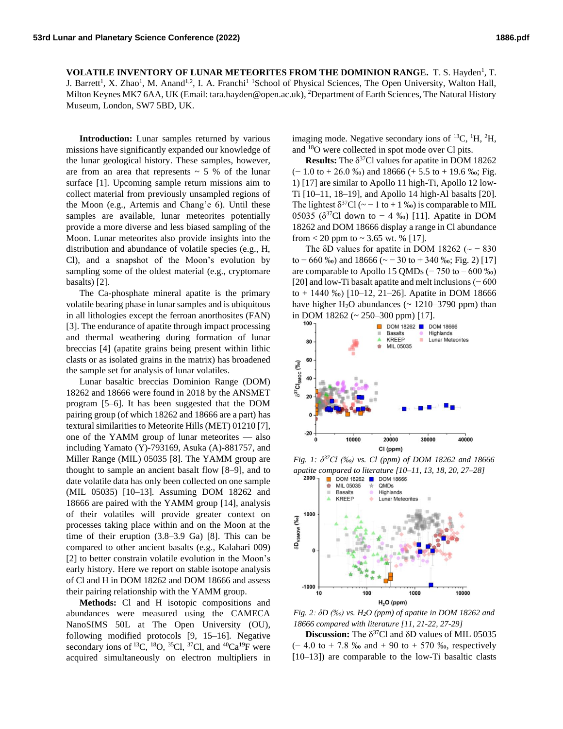**VOLATILE INVENTORY OF LUNAR METEORITES FROM THE DOMINION RANGE.** T. S. Hayden<sup>1</sup>, T. J. Barrett<sup>1</sup>, X. Zhao<sup>1</sup>, M. Anand<sup>1,2</sup>, I. A. Franchi<sup>1</sup> School of Physical Sciences, The Open University, Walton Hall, Milton Keynes MK7 6AA, UK (Email: tara.hayden@open.ac.uk), <sup>2</sup>Department of Earth Sciences, The Natural History Museum, London, SW7 5BD, UK.

**Introduction:** Lunar samples returned by various missions have significantly expanded our knowledge of the lunar geological history. These samples, however, are from an area that represents  $\sim$  5 % of the lunar surface [1]. Upcoming sample return missions aim to collect material from previously unsampled regions of the Moon (e.g., Artemis and Chang'e 6). Until these samples are available, lunar meteorites potentially provide a more diverse and less biased sampling of the Moon. Lunar meteorites also provide insights into the distribution and abundance of volatile species (e.g., H, Cl), and a snapshot of the Moon's evolution by sampling some of the oldest material (e.g., cryptomare basalts) [2].

The Ca-phosphate mineral apatite is the primary volatile bearing phase in lunar samples and is ubiquitous in all lithologies except the ferroan anorthosites (FAN) [3]. The endurance of apatite through impact processing and thermal weathering during formation of lunar breccias [4] (apatite grains being present within lithic clasts or as isolated grains in the matrix) has broadened the sample set for analysis of lunar volatiles.

Lunar basaltic breccias Dominion Range (DOM) 18262 and 18666 were found in 2018 by the ANSMET program [5–6]. It has been suggested that the DOM pairing group (of which 18262 and 18666 are a part) has textural similarities to Meteorite Hills (MET) 01210 [7], one of the YAMM group of lunar meteorites — also including Yamato (Y)-793169, Asuka (A)-881757, and Miller Range (MIL) 05035 [8]. The YAMM group are thought to sample an ancient basalt flow [8–9], and to date volatile data has only been collected on one sample (MIL 05035) [10–13]. Assuming DOM 18262 and 18666 are paired with the YAMM group [14], analysis of their volatiles will provide greater context on processes taking place within and on the Moon at the time of their eruption (3.8–3.9 Ga) [8]. This can be compared to other ancient basalts (e.g., Kalahari 009) [2] to better constrain volatile evolution in the Moon's early history. Here we report on stable isotope analysis of Cl and H in DOM 18262 and DOM 18666 and assess their pairing relationship with the YAMM group.

**Methods:** Cl and H isotopic compositions and abundances were measured using the CAMECA NanoSIMS 50L at The Open University (OU), following modified protocols [9, 15–16]. Negative secondary ions of <sup>13</sup>C, <sup>18</sup>O, <sup>35</sup>Cl, <sup>37</sup>Cl, and <sup>40</sup>Ca<sup>19</sup>F were acquired simultaneously on electron multipliers in

imaging mode. Negative secondary ions of  ${}^{13}C$ ,  ${}^{1}H$ ,  ${}^{2}H$ , and <sup>18</sup>O were collected in spot mode over Cl pits.

**Results:** The  $\delta^{37}$ Cl values for apatite in DOM 18262  $(-1.0 \text{ to } +26.0 \text{ %})$  and 18666  $(+5.5 \text{ to } +19.6 \text{ %})$ ; Fig. 1) [17] are similar to Apollo 11 high-Ti, Apollo 12 low-Ti [10–11, 18–19], and Apollo 14 high-Al basalts [20]. The lightest  $\delta^{37}Cl$  (~ - 1 to + 1 ‰) is comparable to MIL 05035 ( $\delta^{37}$ Cl down to − 4 ‰) [11]. Apatite in DOM 18262 and DOM 18666 display a range in Cl abundance from  $< 20$  ppm to  $\sim 3.65$  wt. % [17].

The  $\delta$ D values for apatite in DOM 18262 ( $\sim$  -830 to  $-660\%$ ) and 18666 ( $\sim$  -30 to +340 ‰; Fig. 2) [17] are comparable to Apollo 15 QMDs  $(-750 \text{ to } -600 \text{ %})$ [20] and low-Ti basalt apatite and melt inclusions (− 600 to + 1440 ‰) [10–12, 21–26]. Apatite in DOM 18666 have higher  $H_2O$  abundances ( $\sim 1210-3790$  ppm) than in DOM 18262 (~ 250–300 ppm) [17].



*Fig. 1: δ <sup>37</sup>Cl (‰) vs. Cl (ppm) of DOM 18262 and 18666 apatite compared to literature [10–11, 13, 18, 20, 27–28]* 



*Fig. 2: δD (‰) vs. H2O (ppm) of apatite in DOM 18262 and 18666 compared with literature [11, 21-22, 27-29]* 

**Discussion:** The  $\delta^{37}$ Cl and  $\delta$ D values of MIL 05035  $(-4.0 \text{ to } + 7.8 \text{ %} \text{ and } + 90 \text{ to } + 570 \text{ %} \text{, respectively})$ [10–13]) are comparable to the low-Ti basaltic clasts